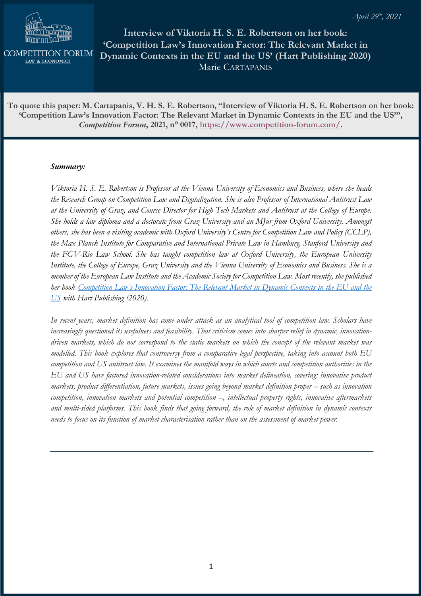

**COMPETITION FORUM LAW & ECONOMICS** 

**Interview of Viktoria H. S. E. Robertson on her book: 'Competition Law's Innovation Factor: The Relevant Market in Dynamic Contexts in the EU and the US' (Hart Publishing 2020)** Marie CARTAPANIS

**To quote this paper: M. Cartapanis, V. H. S. E. Robertson, "Interview of Viktoria H. S. E. Robertson on her book: 'Competition Law's Innovation Factor: The Relevant Market in Dynamic Contexts in the EU and the US'",**  *Competition Forum***, 2021, n° 0017, https://www.competition-forum.com/.** 

## *Summary:*

*Viktoria H. S. E. Robertson is Professor at the Vienna University of Economics and Business, where she heads the Research Group on Competition Law and Digitalization. She is also Professor of International Antitrust Law at the University of Graz, and Course Director for High Tech Markets and Antitrust at the College of Europe. She holds a law diploma and a doctorate from Graz University and an MJur from Oxford University. Amongst others, she has been a visiting academic with Oxford University's Centre for Competition Law and Policy (CCLP), the Max Planck Institute for Comparative and International Private Law in Hamburg, Stanford University and the FGV-Rio Law School. She has taught competition law at Oxford University, the European University Institute, the College of Europe, Graz University and the Vienna University of Economics and Business. She is a member of the European Law Institute and the Academic Society for Competition Law. Most recently, she published her book Competition Law's Innovation Factor: The Relevant Market in Dynamic Contexts in the EU and the US with Hart Publishing (2020).*

*In recent years, market definition has come under attack as an analytical tool of competition law. Scholars have increasingly questioned its usefulness and feasibility. That criticism comes into sharper relief in dynamic, innovationdriven markets, which do not correspond to the static markets on which the concept of the relevant market was modelled. This book explores that controversy from a comparative legal perspective, taking into account both EU competition and US antitrust law. It examines the manifold ways in which courts and competition authorities in the EU and US have factored innovation-related considerations into market delineation, covering: innovative product markets, product differentiation, future markets, issues going beyond market definition proper – such as innovation competition, innovation markets and potential competition –, intellectual property rights, innovative aftermarkets and multi-sided platforms. This book finds that going forward, the role of market definition in dynamic contexts needs to focus on its function of market characterisation rather than on the assessment of market power.*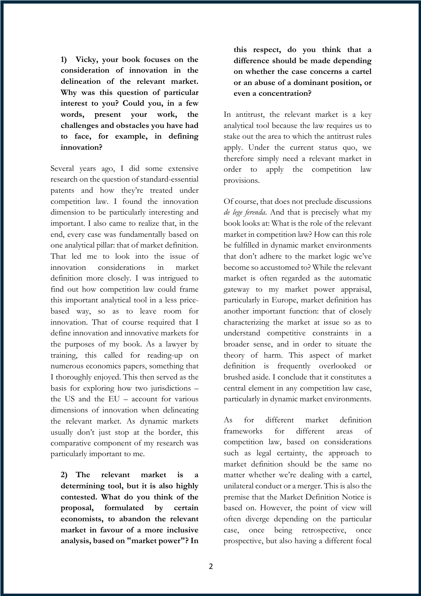**1) Vicky, your book focuses on the consideration of innovation in the delineation of the relevant market. Why was this question of particular interest to you? Could you, in a few words, present your work, the challenges and obstacles you have had to face, for example, in defining innovation?**

Several years ago, I did some extensive research on the question of standard-essential patents and how they're treated under competition law. I found the innovation dimension to be particularly interesting and important. I also came to realize that, in the end, every case was fundamentally based on one analytical pillar: that of market definition. That led me to look into the issue of innovation considerations in market definition more closely. I was intrigued to find out how competition law could frame this important analytical tool in a less pricebased way, so as to leave room for innovation. That of course required that I define innovation and innovative markets for the purposes of my book. As a lawyer by training, this called for reading-up on numerous economics papers, something that I thoroughly enjoyed. This then served as the basis for exploring how two jurisdictions – the US and the EU – account for various dimensions of innovation when delineating the relevant market. As dynamic markets usually don't just stop at the border, this comparative component of my research was particularly important to me.

**2) The relevant market is a determining tool, but it is also highly contested. What do you think of the proposal, formulated by certain economists, to abandon the relevant market in favour of a more inclusive analysis, based on "market power"? In** 

**this respect, do you think that a difference should be made depending on whether the case concerns a cartel or an abuse of a dominant position, or even a concentration?** 

In antitrust, the relevant market is a key analytical tool because the law requires us to stake out the area to which the antitrust rules apply. Under the current status quo, we therefore simply need a relevant market in order to apply the competition law provisions.

Of course, that does not preclude discussions *de lege ferenda*. And that is precisely what my book looks at: What is the role of the relevant market in competition law? How can this role be fulfilled in dynamic market environments that don't adhere to the market logic we've become so accustomed to? While the relevant market is often regarded as the automatic gateway to my market power appraisal, particularly in Europe, market definition has another important function: that of closely characterizing the market at issue so as to understand competitive constraints in a broader sense, and in order to situate the theory of harm. This aspect of market definition is frequently overlooked or brushed aside. I conclude that it constitutes a central element in any competition law case, particularly in dynamic market environments.

As for different market definition frameworks for different areas of competition law, based on considerations such as legal certainty, the approach to market definition should be the same no matter whether we're dealing with a cartel, unilateral conduct or a merger. This is also the premise that the Market Definition Notice is based on. However, the point of view will often diverge depending on the particular case, once being retrospective, once prospective, but also having a different focal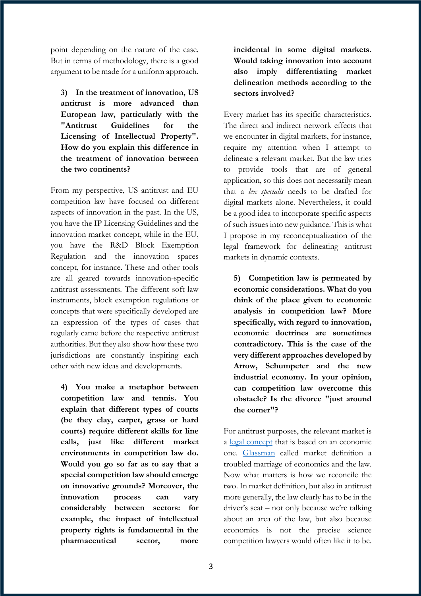point depending on the nature of the case. But in terms of methodology, there is a good argument to be made for a uniform approach.

**3) In the treatment of innovation, US antitrust is more advanced than European law, particularly with the "Antitrust Guidelines for the Licensing of Intellectual Property". How do you explain this difference in the treatment of innovation between the two continents?**

From my perspective, US antitrust and EU competition law have focused on different aspects of innovation in the past. In the US, you have the IP Licensing Guidelines and the innovation market concept, while in the EU, you have the R&D Block Exemption Regulation and the innovation spaces concept, for instance. These and other tools are all geared towards innovation-specific antitrust assessments. The different soft law instruments, block exemption regulations or concepts that were specifically developed are an expression of the types of cases that regularly came before the respective antitrust authorities. But they also show how these two jurisdictions are constantly inspiring each other with new ideas and developments.

**4) You make a metaphor between competition law and tennis. You explain that different types of courts (be they clay, carpet, grass or hard courts) require different skills for line calls, just like different market environments in competition law do. Would you go so far as to say that a special competition law should emerge on innovative grounds? Moreover, the innovation process can vary considerably between sectors: for example, the impact of intellectual property rights is fundamental in the pharmaceutical sector, more** 

**incidental in some digital markets. Would taking innovation into account also imply differentiating market delineation methods according to the sectors involved?**

Every market has its specific characteristics. The direct and indirect network effects that we encounter in digital markets, for instance, require my attention when I attempt to delineate a relevant market. But the law tries to provide tools that are of general application, so this does not necessarily mean that a *lex specialis* needs to be drafted for digital markets alone. Nevertheless, it could be a good idea to incorporate specific aspects of such issues into new guidance. This is what I propose in my reconceptualization of the legal framework for delineating antitrust markets in dynamic contexts.

**5) Competition law is permeated by economic considerations. What do you think of the place given to economic analysis in competition law? More specifically, with regard to innovation, economic doctrines are sometimes contradictory. This is the case of the very different approaches developed by Arrow, Schumpeter and the new industrial economy. In your opinion, can competition law overcome this obstacle? Is the divorce "just around the corner"?**

For antitrust purposes, the relevant market is a legal concept that is based on an economic one. Glassman called market definition a troubled marriage of economics and the law. Now what matters is how we reconcile the two. In market definition, but also in antitrust more generally, the law clearly has to be in the driver's seat – not only because we're talking about an area of the law, but also because economics is not the precise science competition lawyers would often like it to be.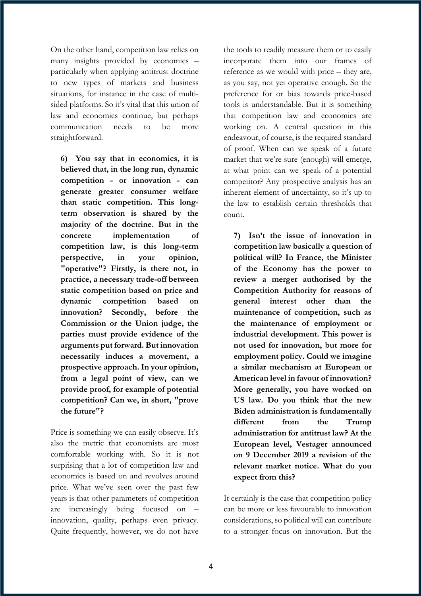On the other hand, competition law relies on many insights provided by economics – particularly when applying antitrust doctrine to new types of markets and business situations, for instance in the case of multisided platforms. So it's vital that this union of law and economics continue, but perhaps communication needs to be more straightforward.

**6) You say that in economics, it is believed that, in the long run, dynamic competition - or innovation - can generate greater consumer welfare than static competition. This longterm observation is shared by the majority of the doctrine. But in the concrete implementation of competition law, is this long-term perspective, in your opinion, "operative"? Firstly, is there not, in practice, a necessary trade-off between static competition based on price and dynamic competition based on innovation? Secondly, before the Commission or the Union judge, the parties must provide evidence of the arguments put forward. But innovation necessarily induces a movement, a prospective approach. In your opinion, from a legal point of view, can we provide proof, for example of potential competition? Can we, in short, "prove the future"?**

Price is something we can easily observe. It's also the metric that economists are most comfortable working with. So it is not surprising that a lot of competition law and economics is based on and revolves around price. What we've seen over the past few years is that other parameters of competition are increasingly being focused on – innovation, quality, perhaps even privacy. Quite frequently, however, we do not have

the tools to readily measure them or to easily incorporate them into our frames of reference as we would with price – they are, as you say, not yet operative enough. So the preference for or bias towards price-based tools is understandable. But it is something that competition law and economics are working on. A central question in this endeavour, of course, is the required standard of proof. When can we speak of a future market that we're sure (enough) will emerge, at what point can we speak of a potential competitor? Any prospective analysis has an inherent element of uncertainty, so it's up to the law to establish certain thresholds that count.

**7) Isn't the issue of innovation in competition law basically a question of political will? In France, the Minister of the Economy has the power to review a merger authorised by the Competition Authority for reasons of general interest other than the maintenance of competition, such as the maintenance of employment or industrial development. This power is not used for innovation, but more for employment policy. Could we imagine a similar mechanism at European or American level in favour of innovation? More generally, you have worked on US law. Do you think that the new Biden administration is fundamentally different from the Trump administration for antitrust law? At the European level, Vestager announced on 9 December 2019 a revision of the relevant market notice. What do you expect from this?**

It certainly is the case that competition policy can be more or less favourable to innovation considerations, so political will can contribute to a stronger focus on innovation. But the